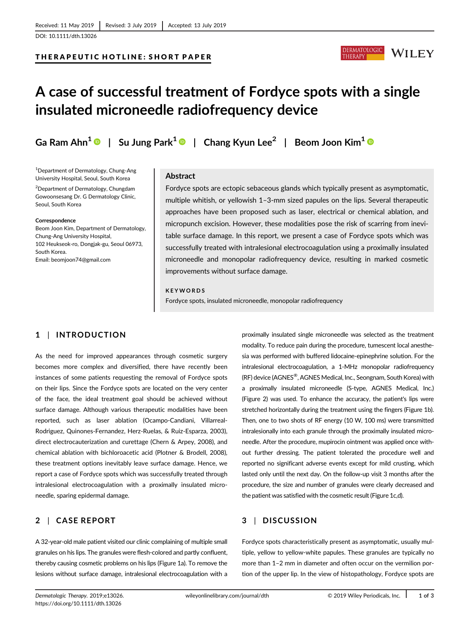## THERAPEUTIC HOTLINE: SHORT PAPER



# A case of successful treatment of Fordyce spots with a single insulated microneedle radiofrequency device

Ga Ram Ahn<sup>1</sup>  $\odot$  | Su Jung Park<sup>1</sup>  $\odot$  | Chang Kyun Lee<sup>2</sup> | Beom Joon Kim<sup>1</sup>  $\odot$ 

1 Department of Dermatology, Chung-Ang University Hospital, Seoul, South Korea

2 Department of Dermatology, Chungdam Gowoonsesang Dr. G Dermatology Clinic, Seoul, South Korea

#### Correspondence

Beom Joon Kim, Department of Dermatology, Chung-Ang University Hospital, 102 Heukseok-ro, Dongjak-gu, Seoul 06973, South Korea. Email: [beomjoon74@gmail.com](mailto:beomjoon74@gmail.com)

## Abstract

Fordyce spots are ectopic sebaceous glands which typically present as asymptomatic, multiple whitish, or yellowish 1–3-mm sized papules on the lips. Several therapeutic approaches have been proposed such as laser, electrical or chemical ablation, and micropunch excision. However, these modalities pose the risk of scarring from inevitable surface damage. In this report, we present a case of Fordyce spots which was successfully treated with intralesional electrocoagulation using a proximally insulated microneedle and monopolar radiofrequency device, resulting in marked cosmetic improvements without surface damage.

### KEYWORDS

Fordyce spots, insulated microneedle, monopolar radiofrequency

## 1 | INTRODUCTION

As the need for improved appearances through cosmetic surgery becomes more complex and diversified, there have recently been instances of some patients requesting the removal of Fordyce spots on their lips. Since the Fordyce spots are located on the very center of the face, the ideal treatment goal should be achieved without surface damage. Although various therapeutic modalities have been reported, such as laser ablation (Ocampo-Candiani, Villarreal-Rodriguez, Quinones-Fernandez, Herz-Ruelas, & Ruiz-Esparza, 2003), direct electrocauterization and curettage (Chern & Arpey, 2008), and chemical ablation with bichloroacetic acid (Plotner & Brodell, 2008), these treatment options inevitably leave surface damage. Hence, we report a case of Fordyce spots which was successfully treated through intralesional electrocoagulation with a proximally insulated microneedle, sparing epidermal damage.

## 2 | CASE REPORT

A 32-year-old male patient visited our clinic complaining of multiple small granules on his lips. The granules were flesh-colored and partly confluent, thereby causing cosmetic problems on his lips (Figure 1a). To remove the lesions without surface damage, intralesional electrocoagulation with a

proximally insulated single microneedle was selected as the treatment modality. To reduce pain during the procedure, tumescent local anesthesia was performed with buffered lidocaine-epinephrine solution. For the intralesional electrocoagulation, a 1-MHz monopolar radiofrequency (RF) device (AGNES®, AGNES Medical, Inc., Seongnam, South Korea) with a proximally insulated microneedle (S-type, AGNES Medical, Inc.) (Figure 2) was used. To enhance the accuracy, the patient's lips were stretched horizontally during the treatment using the fingers (Figure 1b). Then, one to two shots of RF energy (10 W, 100 ms) were transmitted intralesionally into each granule through the proximally insulated microneedle. After the procedure, mupirocin ointment was applied once without further dressing. The patient tolerated the procedure well and reported no significant adverse events except for mild crusting, which lasted only until the next day. On the follow-up visit 3 months after the procedure, the size and number of granules were clearly decreased and the patient was satisfied with the cosmetic result (Figure 1c,d).

# 3 | DISCUSSION

Fordyce spots characteristically present as asymptomatic, usually multiple, yellow to yellow-white papules. These granules are typically no more than 1–2 mm in diameter and often occur on the vermilion portion of the upper lip. In the view of histopathology, Fordyce spots are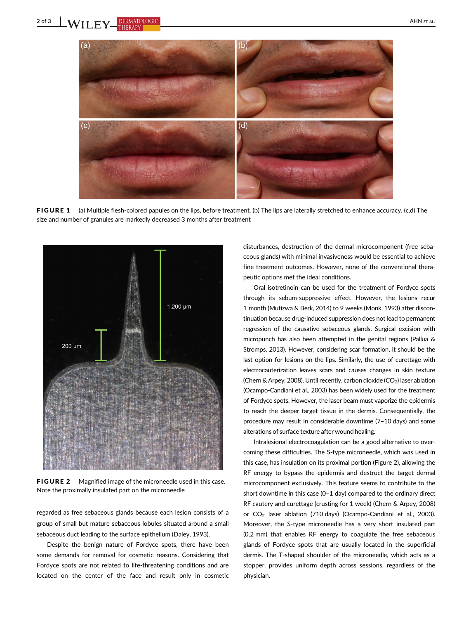

FIGURE 1 (a) Multiple flesh-colored papules on the lips, before treatment. (b) The lips are laterally stretched to enhance accuracy. (c,d) The size and number of granules are markedly decreased 3 months after treatment



**FIGURE 2** Magnified image of the microneedle used in this case. Note the proximally insulated part on the microneedle

regarded as free sebaceous glands because each lesion consists of a group of small but mature sebaceous lobules situated around a small sebaceous duct leading to the surface epithelium (Daley, 1993).

Despite the benign nature of Fordyce spots, there have been some demands for removal for cosmetic reasons. Considering that Fordyce spots are not related to life-threatening conditions and are located on the center of the face and result only in cosmetic

disturbances, destruction of the dermal microcomponent (free sebaceous glands) with minimal invasiveness would be essential to achieve fine treatment outcomes. However, none of the conventional therapeutic options met the ideal conditions.

Oral isotretinoin can be used for the treatment of Fordyce spots through its sebum-suppressive effect. However, the lesions recur 1 month (Mutizwa & Berk, 2014) to 9 weeks (Monk, 1993) after discontinuation because drug-induced suppression does not lead to permanent regression of the causative sebaceous glands. Surgical excision with micropunch has also been attempted in the genital regions (Pallua & Stromps, 2013). However, considering scar formation, it should be the last option for lesions on the lips. Similarly, the use of curettage with electrocauterization leaves scars and causes changes in skin texture (Chern & Arpey, 2008). Until recently, carbon dioxide  $(CO<sub>2</sub>)$  laser ablation (Ocampo-Candiani et al., 2003) has been widely used for the treatment of Fordyce spots. However, the laser beam must vaporize the epidermis to reach the deeper target tissue in the dermis. Consequentially, the procedure may result in considerable downtime (7–10 days) and some alterations of surface texture after wound healing.

Intralesional electrocoagulation can be a good alternative to overcoming these difficulties. The S-type microneedle, which was used in this case, has insulation on its proximal portion (Figure 2), allowing the RF energy to bypass the epidermis and destruct the target dermal microcomponent exclusively. This feature seems to contribute to the short downtime in this case (0–1 day) compared to the ordinary direct RF cautery and curettage (crusting for 1 week) (Chern & Arpey, 2008) or CO2 laser ablation (710 days) (Ocampo-Candiani et al., 2003). Moreover, the S-type microneedle has a very short insulated part (0.2 mm) that enables RF energy to coagulate the free sebaceous glands of Fordyce spots that are usually located in the superficial dermis. The T-shaped shoulder of the microneedle, which acts as a stopper, provides uniform depth across sessions, regardless of the physician.